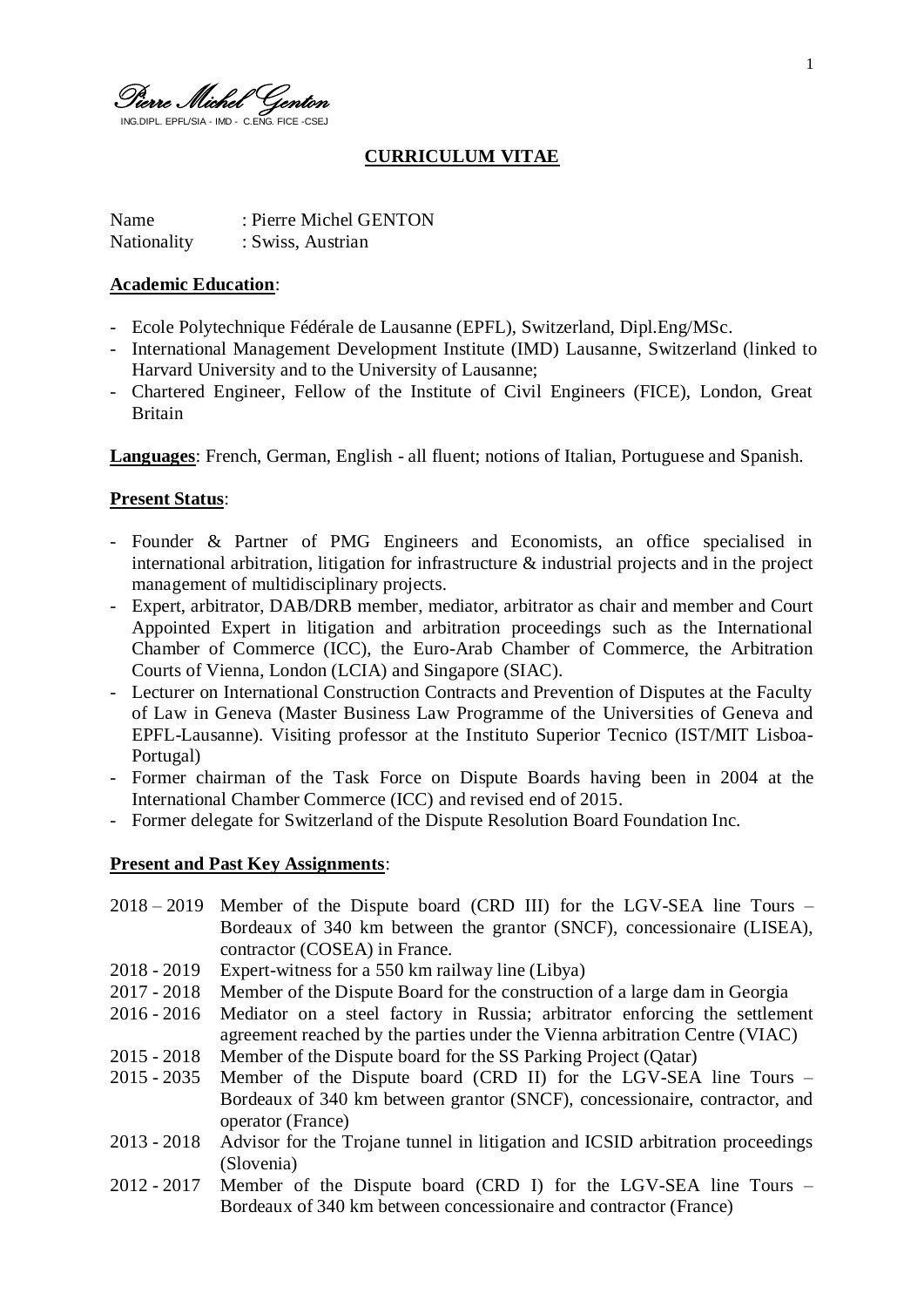Pierre Michel Genton ING.DIPL. EPFL/SIA - IMD - C.ENG. FICE -CSEJ

# **CURRICULUM VITAE**

Name : Pierre Michel GENTON Nationality : Swiss, Austrian

#### **Academic Education**:

- Ecole Polytechnique Fédérale de Lausanne (EPFL), Switzerland, Dipl.Eng/MSc.
- International Management Development Institute (IMD) Lausanne, Switzerland (linked to Harvard University and to the University of Lausanne;
- Chartered Engineer, Fellow of the Institute of Civil Engineers (FICE), London, Great Britain

**Languages**: French, German, English - all fluent; notions of Italian, Portuguese and Spanish.

#### **Present Status**:

- Founder & Partner of PMG Engineers and Economists, an office specialised in international arbitration, litigation for infrastructure  $\&$  industrial projects and in the project management of multidisciplinary projects.
- Expert, arbitrator, DAB/DRB member, mediator, arbitrator as chair and member and Court Appointed Expert in litigation and arbitration proceedings such as the International Chamber of Commerce (ICC), the Euro-Arab Chamber of Commerce, the Arbitration Courts of Vienna, London (LCIA) and Singapore (SIAC).
- Lecturer on International Construction Contracts and Prevention of Disputes at the Faculty of Law in Geneva (Master Business Law Programme of the Universities of Geneva and EPFL-Lausanne). Visiting professor at the Instituto Superior Tecnico (IST/MIT Lisboa-Portugal)
- Former chairman of the Task Force on Dispute Boards having been in 2004 at the International Chamber Commerce (ICC) and revised end of 2015.
- Former delegate for Switzerland of the Dispute Resolution Board Foundation Inc.

## **Present and Past Key Assignments**:

- 2018 2019 Member of the Dispute board (CRD III) for the LGV-SEA line Tours Bordeaux of 340 km between the grantor (SNCF), concessionaire (LISEA), contractor (COSEA) in France.
- 2018 2019 Expert-witness for a 550 km railway line (Libya)
- 2017 2018 Member of the Dispute Board for the construction of a large dam in Georgia
- 2016 2016 Mediator on a steel factory in Russia; arbitrator enforcing the settlement agreement reached by the parties under the Vienna arbitration Centre (VIAC)
- 2015 2018 Member of the Dispute board for the SS Parking Project (Qatar)
- 2015 2035 Member of the Dispute board (CRD II) for the LGV-SEA line Tours Bordeaux of 340 km between grantor (SNCF), concessionaire, contractor, and operator (France)
- 2013 2018 Advisor for the Trojane tunnel in litigation and ICSID arbitration proceedings (Slovenia)
- 2012 2017 Member of the Dispute board (CRD I) for the LGV-SEA line Tours Bordeaux of 340 km between concessionaire and contractor (France)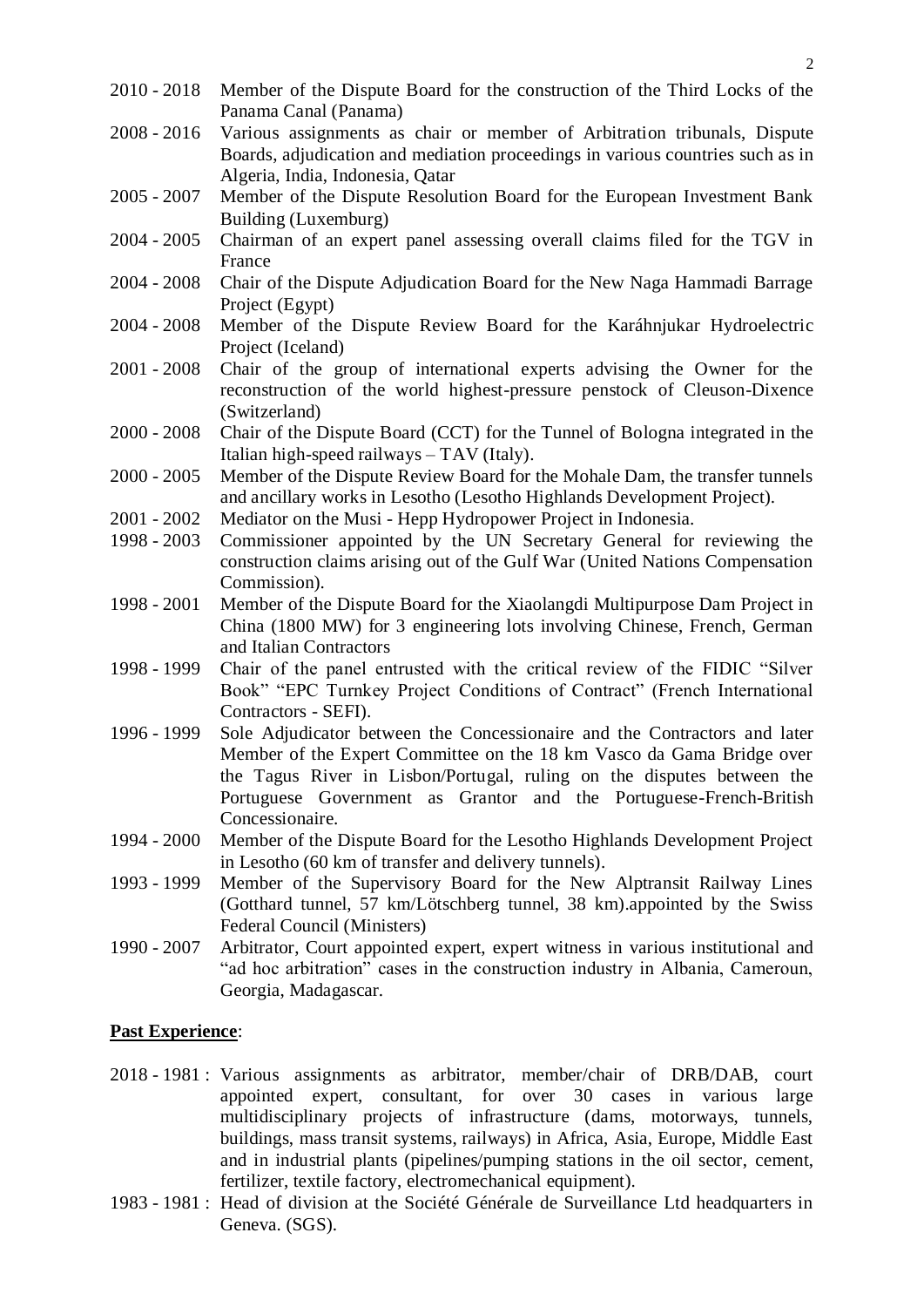- 2010 2018 Member of the Dispute Board for the construction of the Third Locks of the Panama Canal (Panama)
- 2008 2016 Various assignments as chair or member of Arbitration tribunals, Dispute Boards, adjudication and mediation proceedings in various countries such as in Algeria, India, Indonesia, Qatar
- 2005 2007 Member of the Dispute Resolution Board for the European Investment Bank Building (Luxemburg)
- 2004 2005 Chairman of an expert panel assessing overall claims filed for the TGV in France
- 2004 2008 Chair of the Dispute Adjudication Board for the New Naga Hammadi Barrage Project (Egypt)
- 2004 2008 Member of the Dispute Review Board for the Karáhnjukar Hydroelectric Project (Iceland)
- 2001 2008 Chair of the group of international experts advising the Owner for the reconstruction of the world highest-pressure penstock of Cleuson-Dixence (Switzerland)
- 2000 2008 Chair of the Dispute Board (CCT) for the Tunnel of Bologna integrated in the Italian high-speed railways – TAV (Italy).
- 2000 2005 Member of the Dispute Review Board for the Mohale Dam, the transfer tunnels and ancillary works in Lesotho (Lesotho Highlands Development Project).
- 2001 2002 Mediator on the Musi Hepp Hydropower Project in Indonesia.
- 1998 2003 Commissioner appointed by the UN Secretary General for reviewing the construction claims arising out of the Gulf War (United Nations Compensation Commission).
- 1998 2001 Member of the Dispute Board for the Xiaolangdi Multipurpose Dam Project in China (1800 MW) for 3 engineering lots involving Chinese, French, German and Italian Contractors
- 1998 1999 Chair of the panel entrusted with the critical review of the FIDIC "Silver Book" "EPC Turnkey Project Conditions of Contract" (French International Contractors - SEFI).
- 1996 1999 Sole Adjudicator between the Concessionaire and the Contractors and later Member of the Expert Committee on the 18 km Vasco da Gama Bridge over the Tagus River in Lisbon/Portugal, ruling on the disputes between the Portuguese Government as Grantor and the Portuguese-French-British Concessionaire.
- 1994 2000 Member of the Dispute Board for the Lesotho Highlands Development Project in Lesotho (60 km of transfer and delivery tunnels).
- 1993 1999 Member of the Supervisory Board for the New Alptransit Railway Lines (Gotthard tunnel, 57 km/Lötschberg tunnel, 38 km).appointed by the Swiss Federal Council (Ministers)
- 1990 2007 Arbitrator, Court appointed expert, expert witness in various institutional and "ad hoc arbitration" cases in the construction industry in Albania, Cameroun, Georgia, Madagascar.

## **Past Experience**:

- 2018 1981 : Various assignments as arbitrator, member/chair of DRB/DAB, court appointed expert, consultant, for over 30 cases in various large multidisciplinary projects of infrastructure (dams, motorways, tunnels, buildings, mass transit systems, railways) in Africa, Asia, Europe, Middle East and in industrial plants (pipelines/pumping stations in the oil sector, cement, fertilizer, textile factory, electromechanical equipment).
- 1983 1981 : Head of division at the Société Générale de Surveillance Ltd headquarters in Geneva. (SGS).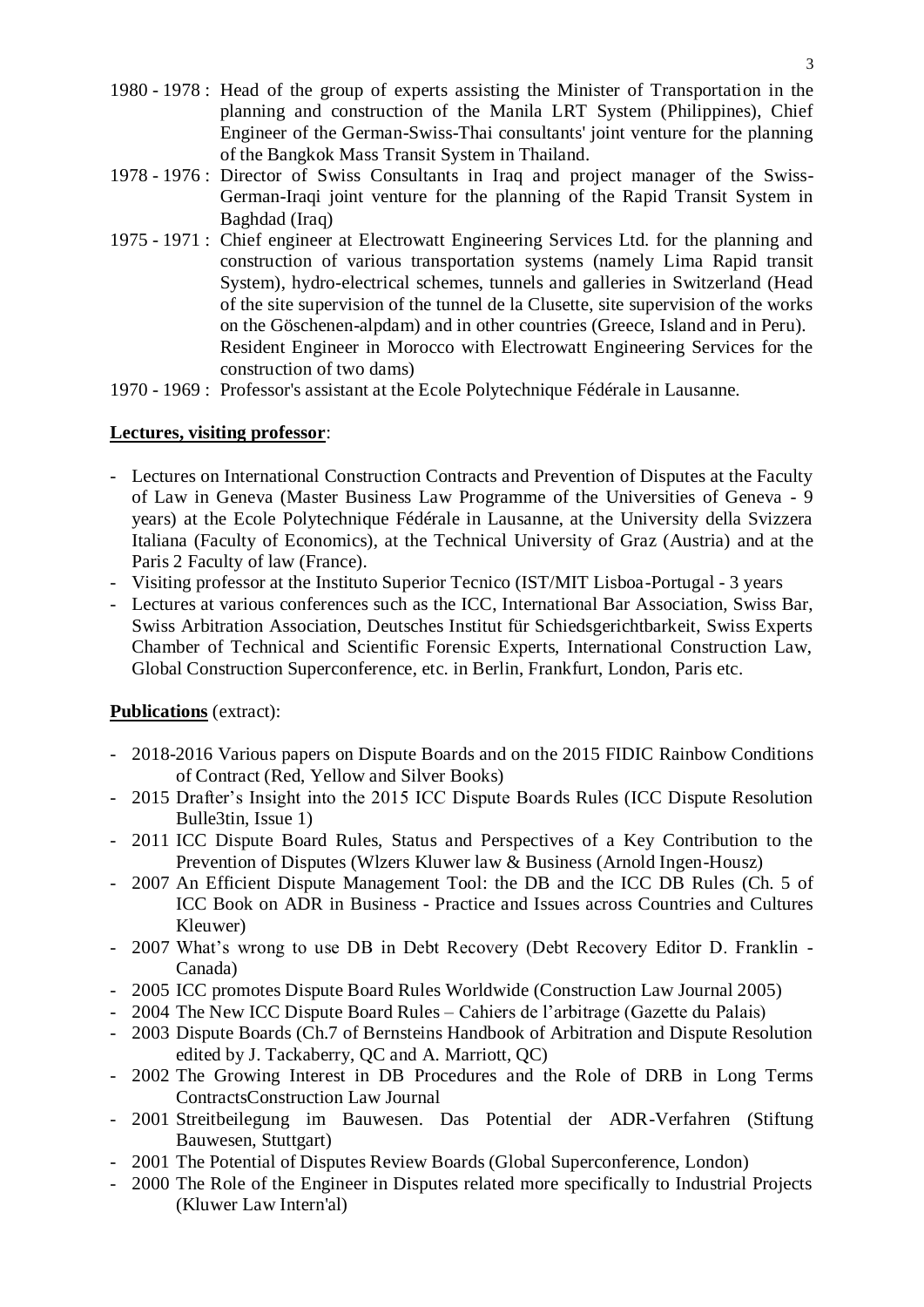- 1980 1978 : Head of the group of experts assisting the Minister of Transportation in the planning and construction of the Manila LRT System (Philippines), Chief Engineer of the German-Swiss-Thai consultants' joint venture for the planning of the Bangkok Mass Transit System in Thailand.
- 1978 1976 : Director of Swiss Consultants in Iraq and project manager of the Swiss-German-Iraqi joint venture for the planning of the Rapid Transit System in Baghdad (Iraq)
- 1975 1971 : Chief engineer at Electrowatt Engineering Services Ltd. for the planning and construction of various transportation systems (namely Lima Rapid transit System), hydro-electrical schemes, tunnels and galleries in Switzerland (Head of the site supervision of the tunnel de la Clusette, site supervision of the works on the Göschenen-alpdam) and in other countries (Greece, Island and in Peru). Resident Engineer in Morocco with Electrowatt Engineering Services for the construction of two dams)
- 1970 1969 : Professor's assistant at the Ecole Polytechnique Fédérale in Lausanne.

## **Lectures, visiting professor**:

- Lectures on International Construction Contracts and Prevention of Disputes at the Faculty of Law in Geneva (Master Business Law Programme of the Universities of Geneva - 9 years) at the Ecole Polytechnique Fédérale in Lausanne, at the University della Svizzera Italiana (Faculty of Economics), at the Technical University of Graz (Austria) and at the Paris 2 Faculty of law (France).
- Visiting professor at the Instituto Superior Tecnico (IST/MIT Lisboa-Portugal 3 years
- Lectures at various conferences such as the ICC, International Bar Association, Swiss Bar, Swiss Arbitration Association, Deutsches Institut für Schiedsgerichtbarkeit, Swiss Experts Chamber of Technical and Scientific Forensic Experts, International Construction Law, Global Construction Superconference, etc. in Berlin, Frankfurt, London, Paris etc.

# **Publications** (extract):

- 2018-2016 Various papers on Dispute Boards and on the 2015 FIDIC Rainbow Conditions of Contract (Red, Yellow and Silver Books)
- 2015 Drafter's Insight into the 2015 ICC Dispute Boards Rules (ICC Dispute Resolution Bulle3tin, Issue 1)
- 2011 ICC Dispute Board Rules, Status and Perspectives of a Key Contribution to the Prevention of Disputes (Wlzers Kluwer law & Business (Arnold Ingen-Housz)
- 2007 An Efficient Dispute Management Tool: the DB and the ICC DB Rules (Ch. 5 of ICC Book on ADR in Business - Practice and Issues across Countries and Cultures Kleuwer)
- 2007 What's wrong to use DB in Debt Recovery (Debt Recovery Editor D. Franklin Canada)
- 2005 ICC promotes Dispute Board Rules Worldwide (Construction Law Journal 2005)
- 2004 The New ICC Dispute Board Rules Cahiers de l'arbitrage (Gazette du Palais)
- 2003 Dispute Boards (Ch.7 of Bernsteins Handbook of Arbitration and Dispute Resolution edited by J. Tackaberry, QC and A. Marriott, QC)
- 2002 The Growing Interest in DB Procedures and the Role of DRB in Long Terms ContractsConstruction Law Journal
- 2001 Streitbeilegung im Bauwesen. Das Potential der ADR-Verfahren (Stiftung Bauwesen, Stuttgart)
- 2001 The Potential of Disputes Review Boards (Global Superconference, London)
- 2000 The Role of the Engineer in Disputes related more specifically to Industrial Projects (Kluwer Law Intern'al)